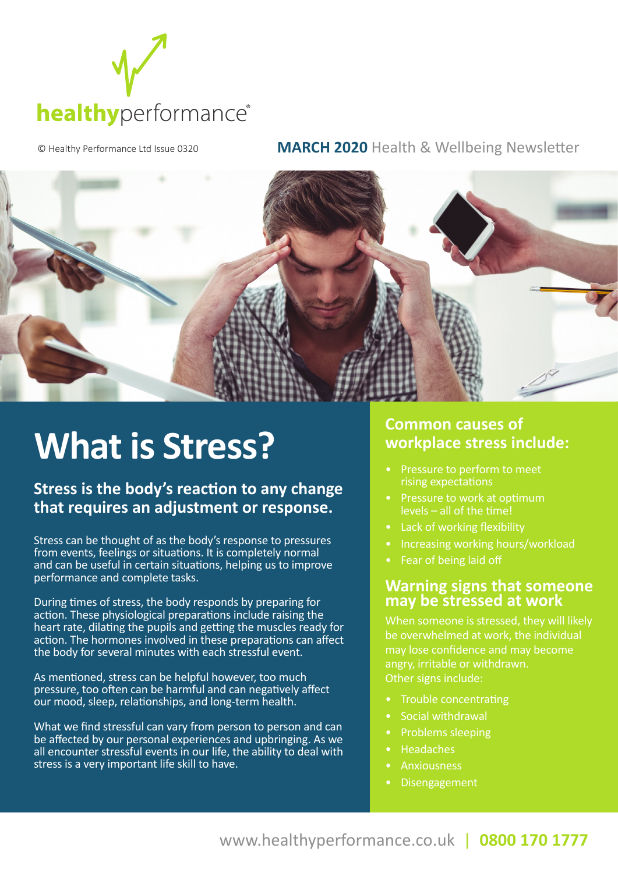

© Healthy Performance Ltd Issue 0320 **MARCH 2020** Health & Wellbeing Newsletter



## **What is Stress?**

### **Stress is the body's reaction to any change that requires an adjustment or response.**

Stress can be thought of as the body's response to pressures from events, feelings or situations. It is completely normal and can be useful in certain situations, helping us to improve performance and complete tasks.

During times of stress, the body responds by preparing for action. These physiological preparations include raising the heart rate, dilating the pupils and getting the muscles ready for action. The hormones involved in these preparations can affect the body for several minutes with each stressful event.

As mentioned, stress can be helpful however, too much pressure, too often can be harmful and can negatively affect our mood, sleep, relationships, and long-term health.

What we find stressful can vary from person to person and can be affected by our personal experiences and upbringing. As we all encounter stressful events in our life, the ability to deal with stress is a very important life skill to have.

#### **Common causes of workplace stress include:**

- rising expectations
- Pressure to work at optimum levels – all of the time!
- Lack of working flexibility
- Increasing working hours/workload
- 

#### **Warning signs that someone may be stressed at work**

When someone is stressed, they will likely be overwhelmed at work, the individual may lose confidence and may become angry, irritable or withdrawn. Other signs include:

- Trouble concentrating
- Social withdrawal
- Problems sleeping
- Headaches
- **Anxiousness**
- Disengagement